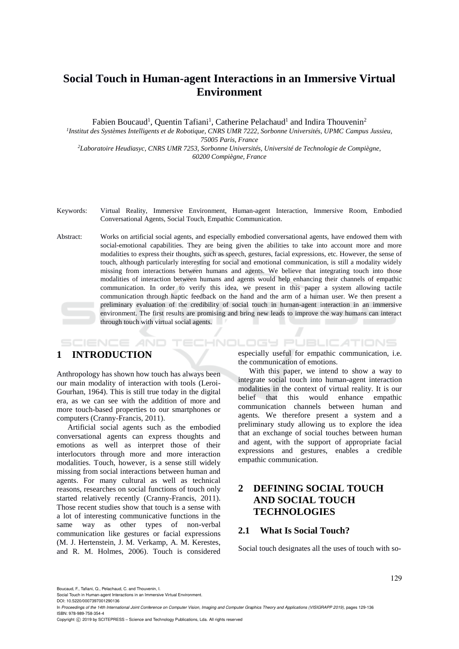# **Social Touch in Human-agent Interactions in an Immersive Virtual Environment**

Fabien Boucaud<sup>1</sup>, Quentin Tafiani<sup>1</sup>, Catherine Pelachaud<sup>1</sup> and Indira Thouvenin<sup>2</sup> *1 Institut des Systèmes Intelligents et de Robotique, CNRS UMR 7222, Sorbonne Universités, UPMC Campus Jussieu, 75005 Paris, France <sup>2</sup>Laboratoire Heudiasyc, CNRS UMR 7253, Sorbonne Universités, Université de Technologie de Compiègne,*

*60200 Compiègne, France*

- Keywords: Virtual Reality, Immersive Environment, Human-agent Interaction, Immersive Room, Embodied Conversational Agents, Social Touch, Empathic Communication.
- Abstract: Works on artificial social agents, and especially embodied conversational agents, have endowed them with social-emotional capabilities. They are being given the abilities to take into account more and more modalities to express their thoughts, such as speech, gestures, facial expressions, etc. However, the sense of touch, although particularly interesting for social and emotional communication, is still a modality widely missing from interactions between humans and agents. We believe that integrating touch into those modalities of interaction between humans and agents would help enhancing their channels of empathic communication. In order to verify this idea, we present in this paper a system allowing tactile communication through haptic feedback on the hand and the arm of a human user. We then present a preliminary evaluation of the credibility of social touch in human-agent interaction in an immersive environment. The first results are promising and bring new leads to improve the way humans can interact through touch with virtual social agents.

## **1 INTRODUCTION**

**SCIENCE AND** 

Anthropology has shown how touch has always been our main modality of interaction with tools (Leroi-Gourhan, 1964). This is still true today in the digital era, as we can see with the addition of more and more touch-based properties to our smartphones or computers (Cranny-Francis, 2011).

Artificial social agents such as the embodied conversational agents can express thoughts and emotions as well as interpret those of their interlocutors through more and more interaction modalities. Touch, however, is a sense still widely missing from social interactions between human and agents. For many cultural as well as technical reasons, researches on social functions of touch only started relatively recently (Cranny-Francis, 2011). Those recent studies show that touch is a sense with a lot of interesting communicative functions in the same way as other types of non-verbal communication like gestures or facial expressions (M. J. Hertenstein, J. M. Verkamp, A. M. Kerestes, and R. M. Holmes, 2006). Touch is considered especially useful for empathic communication, i.e. the communication of emotions.

**TECHNOLOGY PUBLICATIONS** 

With this paper, we intend to show a way to integrate social touch into human-agent interaction modalities in the context of virtual reality. It is our belief that this would enhance empathic communication channels between human and agents. We therefore present a system and a preliminary study allowing us to explore the idea that an exchange of social touches between human and agent, with the support of appropriate facial expressions and gestures, enables a credible empathic communication.

## **2 DEFINING SOCIAL TOUCH AND SOCIAL TOUCH TECHNOLOGIES**

### **2.1 What Is Social Touch?**

Social touch designates all the uses of touch with so-

Boucaud, F., Tafiani, Q., Pelachaud, C. and Thouvenin, I.

Social Touch in Human-agent Interactions in an Immersive Virtual Environment.

DOI: 10.5220/0007397001290136

In *Proceedings of the 14th International Joint Conference on Computer Vision, Imaging and Computer Graphics Theory and Applications (VISIGRAPP 2019)*, pages 129-136 ISBN: 978-989-758-354-4

Copyright © 2019 by SCITEPRESS - Science and Technology Publications, Lda. All rights reserved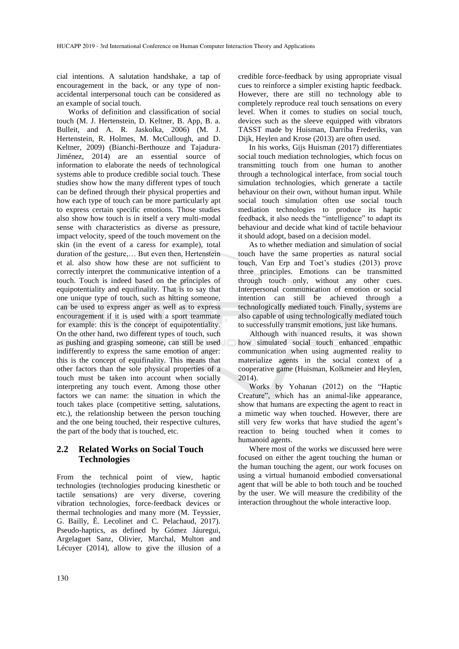cial intentions. A salutation handshake, a tap of encouragement in the back, or any type of nonaccidental interpersonal touch can be considered as an example of social touch.

Works of definition and classification of social touch (M. J. Hertenstein, D. Keltner, B. App, B. a. Bulleit, and A. R. Jaskolka, 2006) (M. J. Hertenstein, R. Holmes, M. McCullough, and D. Keltner, 2009) (Bianchi-Berthouze and Tajadura-Jiménez, 2014) are an essential source of information to elaborate the needs of technological systems able to produce credible social touch. These studies show how the many different types of touch can be defined through their physical properties and how each type of touch can be more particularly apt to express certain specific emotions. Those studies also show how touch is in itself a very multi-modal sense with characteristics as diverse as pressure, impact velocity, speed of the touch movement on the skin (in the event of a caress for example), total duration of the gesture,… But even then, Hertenstein et al. also show how these are not sufficient to correctly interpret the communicative intention of a touch. Touch is indeed based on the principles of equipotentiality and equifinality. That is to say that one unique type of touch, such as hitting someone, can be used to express anger as well as to express encouragement if it is used with a sport teammate for example: this is the concept of equipotentiality. On the other hand, two different types of touch, such as pushing and grasping someone, can still be used indifferently to express the same emotion of anger: this is the concept of equifinality. This means that other factors than the sole physical properties of a touch must be taken into account when socially interpreting any touch event. Among those other factors we can name: the situation in which the touch takes place (competitive setting, salutations, etc.), the relationship between the person touching and the one being touched, their respective cultures, the part of the body that is touched, etc.

## **2.2 Related Works on Social Touch Technologies**

From the technical point of view, haptic technologies (technologies producing kinesthetic or tactile sensations) are very diverse, covering vibration technologies, force-feedback devices or thermal technologies and many more (M. Teyssier, G. Bailly, É. Lecolinet and C. Pelachaud, 2017). Pseudo-haptics, as defined by Gómez Jáuregui, Argelaguet Sanz, Olivier, Marchal, Multon and Lécuyer (2014), allow to give the illusion of a credible force-feedback by using appropriate visual cues to reinforce a simpler existing haptic feedback. However, there are still no technology able to completely reproduce real touch sensations on every level. When it comes to studies on social touch, devices such as the sleeve equipped with vibrators TASST made by Huisman, Darriba Frederiks, van Dijk, Heylen and Krose (2013) are often used.

In his works, Gijs Huisman (2017) differentiates social touch mediation technologies, which focus on transmitting touch from one human to another through a technological interface, from social touch simulation technologies, which generate a tactile behaviour on their own, without human input. While social touch simulation often use social touch mediation technologies to produce its haptic feedback, it also needs the "intelligence" to adapt its behaviour and decide what kind of tactile behaviour it should adopt, based on a decision model.

As to whether mediation and simulation of social touch have the same properties as natural social touch, Van Erp and Toet's studies (2013) prove three principles. Emotions can be transmitted through touch only, without any other cues. Interpersonal communication of emotion or social intention can still be achieved through a technologically mediated touch. Finally, systems are also capable of using technologically mediated touch to successfully transmit emotions, just like humans.

Although with nuanced results, it was shown how simulated social touch enhanced empathic communication when using augmented reality to materialize agents in the social context of a cooperative game (Huisman, Kolkmeier and Heylen, 2014).

Works by Yohanan (2012) on the "Haptic Creature", which has an animal-like appearance, show that humans are expecting the agent to react in a mimetic way when touched. However, there are still very few works that have studied the agent's reaction to being touched when it comes to humanoid agents.

Where most of the works we discussed here were focused on either the agent touching the human or the human touching the agent, our work focuses on using a virtual humanoid embodied conversational agent that will be able to both touch and be touched by the user. We will measure the credibility of the interaction throughout the whole interactive loop.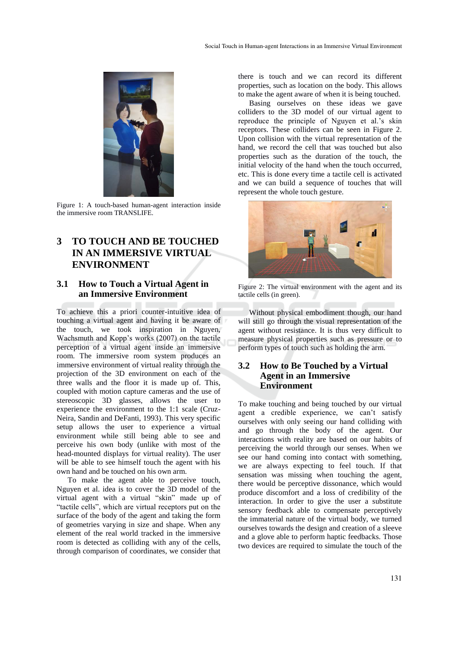

Figure 1: A touch-based human-agent interaction inside the immersive room TRANSLIFE.

## **3 TO TOUCH AND BE TOUCHED IN AN IMMERSIVE VIRTUAL ENVIRONMENT**

## **3.1 How to Touch a Virtual Agent in an Immersive Environment**

To achieve this a priori counter-intuitive idea of touching a virtual agent and having it be aware of the touch, we took inspiration in Nguyen, Wachsmuth and Kopp's works (2007) on the tactile perception of a virtual agent inside an immersive room. The immersive room system produces an immersive environment of virtual reality through the projection of the 3D environment on each of the three walls and the floor it is made up of. This, coupled with motion capture cameras and the use of stereoscopic 3D glasses, allows the user to experience the environment to the 1:1 scale (Cruz-Neira, Sandin and DeFanti, 1993). This very specific setup allows the user to experience a virtual environment while still being able to see and perceive his own body (unlike with most of the head-mounted displays for virtual reality). The user will be able to see himself touch the agent with his own hand and be touched on his own arm.

To make the agent able to perceive touch, Nguyen et al. idea is to cover the 3D model of the virtual agent with a virtual "skin" made up of "tactile cells", which are virtual receptors put on the surface of the body of the agent and taking the form of geometries varying in size and shape. When any element of the real world tracked in the immersive room is detected as colliding with any of the cells, through comparison of coordinates, we consider that

there is touch and we can record its different properties, such as location on the body. This allows to make the agent aware of when it is being touched.

Basing ourselves on these ideas we gave colliders to the 3D model of our virtual agent to reproduce the principle of Nguyen et al.'s skin receptors. These colliders can be seen in Figure 2. Upon collision with the virtual representation of the hand, we record the cell that was touched but also properties such as the duration of the touch, the initial velocity of the hand when the touch occurred, etc. This is done every time a tactile cell is activated and we can build a sequence of touches that will represent the whole touch gesture.



Figure 2: The virtual environment with the agent and its tactile cells (in green).

Without physical embodiment though, our hand will still go through the visual representation of the agent without resistance. It is thus very difficult to measure physical properties such as pressure or to perform types of touch such as holding the arm.

## **3.2 How to Be Touched by a Virtual Agent in an Immersive Environment**

To make touching and being touched by our virtual agent a credible experience, we can't satisfy ourselves with only seeing our hand colliding with and go through the body of the agent. Our interactions with reality are based on our habits of perceiving the world through our senses. When we see our hand coming into contact with something, we are always expecting to feel touch. If that sensation was missing when touching the agent, there would be perceptive dissonance, which would produce discomfort and a loss of credibility of the interaction. In order to give the user a substitute sensory feedback able to compensate perceptively the immaterial nature of the virtual body, we turned ourselves towards the design and creation of a sleeve and a glove able to perform haptic feedbacks. Those two devices are required to simulate the touch of the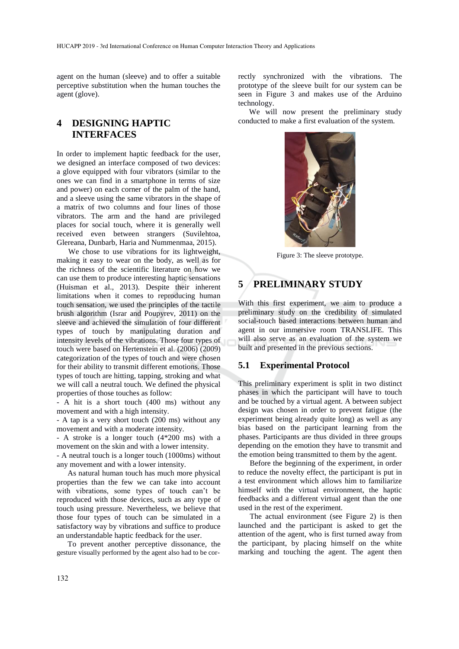agent on the human (sleeve) and to offer a suitable perceptive substitution when the human touches the agent (glove).

## **4 DESIGNING HAPTIC INTERFACES**

In order to implement haptic feedback for the user, we designed an interface composed of two devices: a glove equipped with four vibrators (similar to the ones we can find in a smartphone in terms of size and power) on each corner of the palm of the hand, and a sleeve using the same vibrators in the shape of a matrix of two columns and four lines of those vibrators. The arm and the hand are privileged places for social touch, where it is generally well received even between strangers (Suvilehtoa, Glereana, Dunbarb, Haria and Nummenmaa, 2015).

We chose to use vibrations for its lightweight, making it easy to wear on the body, as well as for the richness of the scientific literature on how we can use them to produce interesting haptic sensations (Huisman et al., 2013). Despite their inherent limitations when it comes to reproducing human touch sensation, we used the principles of the tactile brush algorithm (Israr and Poupyrev, 2011) on the sleeve and achieved the simulation of four different types of touch by manipulating duration and intensity levels of the vibrations. Those four types of touch were based on Hertenstein et al. (2006) (2009) categorization of the types of touch and were chosen for their ability to transmit different emotions. Those types of touch are hitting, tapping, stroking and what we will call a neutral touch. We defined the physical properties of those touches as follow:

- A hit is a short touch (400 ms) without any movement and with a high intensity.

- A tap is a very short touch (200 ms) without any movement and with a moderate intensity.

- A stroke is a longer touch (4\*200 ms) with a movement on the skin and with a lower intensity.

- A neutral touch is a longer touch (1000ms) without any movement and with a lower intensity.

As natural human touch has much more physical properties than the few we can take into account with vibrations, some types of touch can't be reproduced with those devices, such as any type of touch using pressure. Nevertheless, we believe that those four types of touch can be simulated in a satisfactory way by vibrations and suffice to produce an understandable haptic feedback for the user.

To prevent another perceptive dissonance, the gesture visually performed by the agent also had to be correctly synchronized with the vibrations. The prototype of the sleeve built for our system can be seen in Figure 3 and makes use of the Arduino technology.

We will now present the preliminary study conducted to make a first evaluation of the system.



Figure 3: The sleeve prototype.

## **5 PRELIMINARY STUDY**

With this first experiment, we aim to produce a preliminary study on the credibility of simulated social-touch based interactions between human and agent in our immersive room TRANSLIFE. This will also serve as an evaluation of the system we built and presented in the previous sections.

#### **5.1 Experimental Protocol**

This preliminary experiment is split in two distinct phases in which the participant will have to touch and be touched by a virtual agent. A between subject design was chosen in order to prevent fatigue (the experiment being already quite long) as well as any bias based on the participant learning from the phases. Participants are thus divided in three groups depending on the emotion they have to transmit and the emotion being transmitted to them by the agent.

Before the beginning of the experiment, in order to reduce the novelty effect, the participant is put in a test environment which allows him to familiarize himself with the virtual environment, the haptic feedbacks and a different virtual agent than the one used in the rest of the experiment.

The actual environment (see Figure 2) is then launched and the participant is asked to get the attention of the agent, who is first turned away from the participant, by placing himself on the white marking and touching the agent. The agent then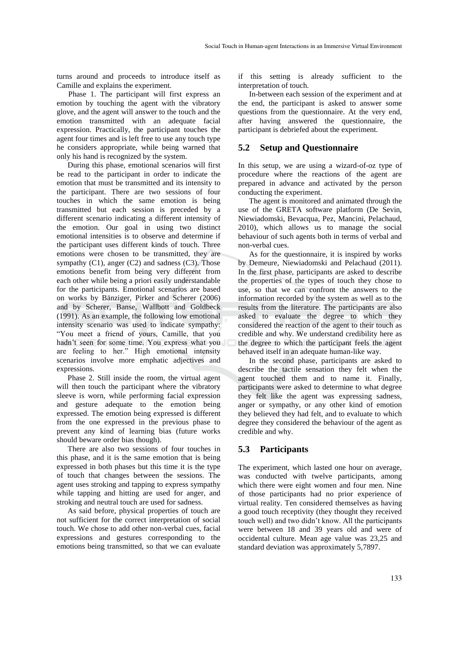turns around and proceeds to introduce itself as Camille and explains the experiment.

Phase 1. The participant will first express an emotion by touching the agent with the vibratory glove, and the agent will answer to the touch and the emotion transmitted with an adequate facial expression. Practically, the participant touches the agent four times and is left free to use any touch type he considers appropriate, while being warned that only his hand is recognized by the system.

During this phase, emotional scenarios will first be read to the participant in order to indicate the emotion that must be transmitted and its intensity to the participant. There are two sessions of four touches in which the same emotion is being transmitted but each session is preceded by a different scenario indicating a different intensity of the emotion. Our goal in using two distinct emotional intensities is to observe and determine if the participant uses different kinds of touch. Three emotions were chosen to be transmitted, they are sympathy (C1), anger (C2) and sadness (C3). Those emotions benefit from being very different from each other while being a priori easily understandable for the participants. Emotional scenarios are based on works by Bänziger, Pirker and Scherer (2006) and by Scherer, Banse, Wallbott and Goldbeck (1991). As an example, the following low emotional intensity scenario was used to indicate sympathy: "You meet a friend of yours, Camille, that you hadn't seen for some time. You express what you are feeling to her." High emotional intensity scenarios involve more emphatic adjectives and expressions.

Phase 2. Still inside the room, the virtual agent will then touch the participant where the vibratory sleeve is worn, while performing facial expression and gesture adequate to the emotion being expressed. The emotion being expressed is different from the one expressed in the previous phase to prevent any kind of learning bias (future works should beware order bias though).

There are also two sessions of four touches in this phase, and it is the same emotion that is being expressed in both phases but this time it is the type of touch that changes between the sessions. The agent uses stroking and tapping to express sympathy while tapping and hitting are used for anger, and stroking and neutral touch are used for sadness.

As said before, physical properties of touch are not sufficient for the correct interpretation of social touch. We chose to add other non-verbal cues, facial expressions and gestures corresponding to the emotions being transmitted, so that we can evaluate

if this setting is already sufficient to the interpretation of touch.

In-between each session of the experiment and at the end, the participant is asked to answer some questions from the questionnaire. At the very end, after having answered the questionnaire, the participant is debriefed about the experiment.

### **5.2 Setup and Questionnaire**

In this setup, we are using a wizard-of-oz type of procedure where the reactions of the agent are prepared in advance and activated by the person conducting the experiment.

The agent is monitored and animated through the use of the GRETA software platform (De Sevin, Niewiadomski, Bevacqua, Pez, Mancini, Pelachaud, 2010), which allows us to manage the social behaviour of such agents both in terms of verbal and non-verbal cues.

As for the questionnaire, it is inspired by works by Demeure, Niewiadomski and Pelachaud (2011). In the first phase, participants are asked to describe the properties of the types of touch they chose to use, so that we can confront the answers to the information recorded by the system as well as to the results from the literature. The participants are also asked to evaluate the degree to which they considered the reaction of the agent to their touch as credible and why. We understand credibility here as the degree to which the participant feels the agent behaved itself in an adequate human-like way.

In the second phase, participants are asked to describe the tactile sensation they felt when the agent touched them and to name it. Finally, participants were asked to determine to what degree they felt like the agent was expressing sadness, anger or sympathy, or any other kind of emotion they believed they had felt, and to evaluate to which degree they considered the behaviour of the agent as credible and why.

#### **5.3 Participants**

The experiment, which lasted one hour on average, was conducted with twelve participants, among which there were eight women and four men. Nine of those participants had no prior experience of virtual reality. Ten considered themselves as having a good touch receptivity (they thought they received touch well) and two didn't know. All the participants were between 18 and 39 years old and were of occidental culture. Mean age value was 23,25 and standard deviation was approximately 5,7897.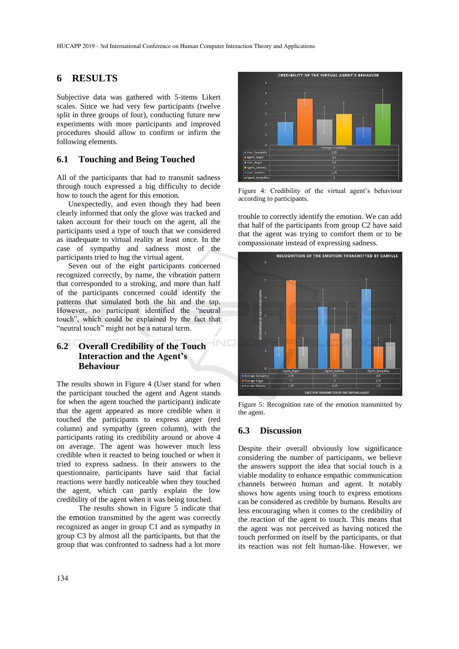## **6 RESULTS**

Subjective data was gathered with 5-items Likert scales. Since we had very few participants (twelve split in three groups of four), conducting future new experiments with more participants and improved procedures should allow to confirm or infirm the following elements.

### **6.1 Touching and Being Touched**

All of the participants that had to transmit sadness through touch expressed a big difficulty to decide how to touch the agent for this emotion.

Unexpectedly, and even though they had been clearly informed that only the glove was tracked and taken account for their touch on the agent, all the participants used a type of touch that we considered as inadequate to virtual reality at least once. In the case of sympathy and sadness most of the participants tried to hug the virtual agent.

Seven out of the eight participants concerned recognized correctly, by name, the vibration pattern that corresponded to a stroking, and more than half of the participants concerned could identify the patterns that simulated both the hit and the tap. However, no participant identified the "neutral touch", which could be explained by the fact that "neutral touch" might not be a natural term.

## **6.2 Overall Credibility of the Touch Interaction and the Agent's Behaviour**

The results shown in Figure 4 (User stand for when the participant touched the agent and Agent stands for when the agent touched the participant) indicate that the agent appeared as more credible when it touched the participants to express anger (red column) and sympathy (green column), with the participants rating its credibility around or above 4 on average. The agent was however much less credible when it reacted to being touched or when it tried to express sadness. In their answers to the questionnaire, participants have said that facial reactions were hardly noticeable when they touched the agent, which can partly explain the low credibility of the agent when it was being touched.

The results shown in Figure 5 indicate that the emotion transmitted by the agent was correctly recognized as anger in group C1 and as sympathy in group C3 by almost all the participants, but that the group that was confronted to sadness had a lot more



Figure 4: Credibility of the virtual agent's behaviour according to participants.

trouble to correctly identify the emotion. We can add that half of the participants from group C2 have said that the agent was trying to comfort them or to be compassionate instead of expressing sadness.



Figure 5: Recognition rate of the emotion transmitted by the agent.

### **6.3 Discussion**

Despite their overall obviously low significance considering the number of participants, we believe the answers support the idea that social touch is a viable modality to enhance empathic communication channels between human and agent. It notably shows how agents using touch to express emotions can be considered as credible by humans. Results are less encouraging when it comes to the credibility of the reaction of the agent to touch. This means that the agent was not perceived as having noticed the touch performed on itself by the participants, or that its reaction was not felt human-like. However, we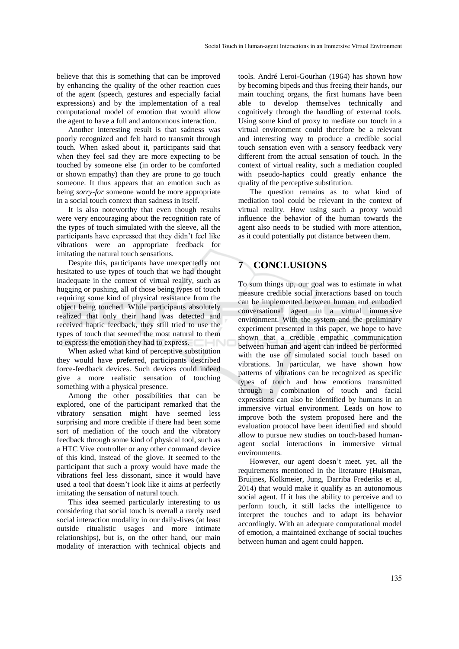believe that this is something that can be improved by enhancing the quality of the other reaction cues of the agent (speech, gestures and especially facial expressions) and by the implementation of a real computational model of emotion that would allow the agent to have a full and autonomous interaction.

Another interesting result is that sadness was poorly recognized and felt hard to transmit through touch. When asked about it, participants said that when they feel sad they are more expecting to be touched by someone else (in order to be comforted or shown empathy) than they are prone to go touch someone. It thus appears that an emotion such as being *sorry-for* someone would be more appropriate in a social touch context than sadness in itself.

It is also noteworthy that even though results were very encouraging about the recognition rate of the types of touch simulated with the sleeve, all the participants have expressed that they didn't feel like vibrations were an appropriate feedback for imitating the natural touch sensations.

Despite this, participants have unexpectedly not hesitated to use types of touch that we had thought inadequate in the context of virtual reality, such as hugging or pushing, all of those being types of touch requiring some kind of physical resistance from the object being touched. While participants absolutely realized that only their hand was detected and received haptic feedback, they still tried to use the types of touch that seemed the most natural to them to express the emotion they had to express.

When asked what kind of perceptive substitution they would have preferred, participants described force-feedback devices. Such devices could indeed give a more realistic sensation of touching something with a physical presence.

Among the other possibilities that can be explored, one of the participant remarked that the vibratory sensation might have seemed less surprising and more credible if there had been some sort of mediation of the touch and the vibratory feedback through some kind of physical tool, such as a HTC Vive controller or any other command device of this kind, instead of the glove. It seemed to the participant that such a proxy would have made the vibrations feel less dissonant, since it would have used a tool that doesn't look like it aims at perfectly imitating the sensation of natural touch.

This idea seemed particularly interesting to us considering that social touch is overall a rarely used social interaction modality in our daily-lives (at least outside ritualistic usages and more intimate relationships), but is, on the other hand, our main modality of interaction with technical objects and

tools. André Leroi-Gourhan (1964) has shown how by becoming bipeds and thus freeing their hands, our main touching organs, the first humans have been able to develop themselves technically and cognitively through the handling of external tools. Using some kind of proxy to mediate our touch in a virtual environment could therefore be a relevant and interesting way to produce a credible social touch sensation even with a sensory feedback very different from the actual sensation of touch. In the context of virtual reality, such a mediation coupled with pseudo-haptics could greatly enhance the quality of the perceptive substitution.

The question remains as to what kind of mediation tool could be relevant in the context of virtual reality. How using such a proxy would influence the behavior of the human towards the agent also needs to be studied with more attention, as it could potentially put distance between them.

## **7 CONCLUSIONS**

To sum things up, our goal was to estimate in what measure credible social interactions based on touch can be implemented between human and embodied conversational agent in a virtual immersive environment. With the system and the preliminary experiment presented in this paper, we hope to have shown that a credible empathic communication between human and agent can indeed be performed with the use of simulated social touch based on vibrations. In particular, we have shown how patterns of vibrations can be recognized as specific types of touch and how emotions transmitted through a combination of touch and facial expressions can also be identified by humans in an immersive virtual environment. Leads on how to improve both the system proposed here and the evaluation protocol have been identified and should allow to pursue new studies on touch-based humanagent social interactions in immersive virtual environments.

However, our agent doesn't meet, yet, all the requirements mentioned in the literature (Huisman, Bruijnes, Kolkmeier, Jung, Darriba Frederiks et al, 2014) that would make it qualify as an autonomous social agent. If it has the ability to perceive and to perform touch, it still lacks the intelligence to interpret the touches and to adapt its behavior accordingly. With an adequate computational model of emotion, a maintained exchange of social touches between human and agent could happen.